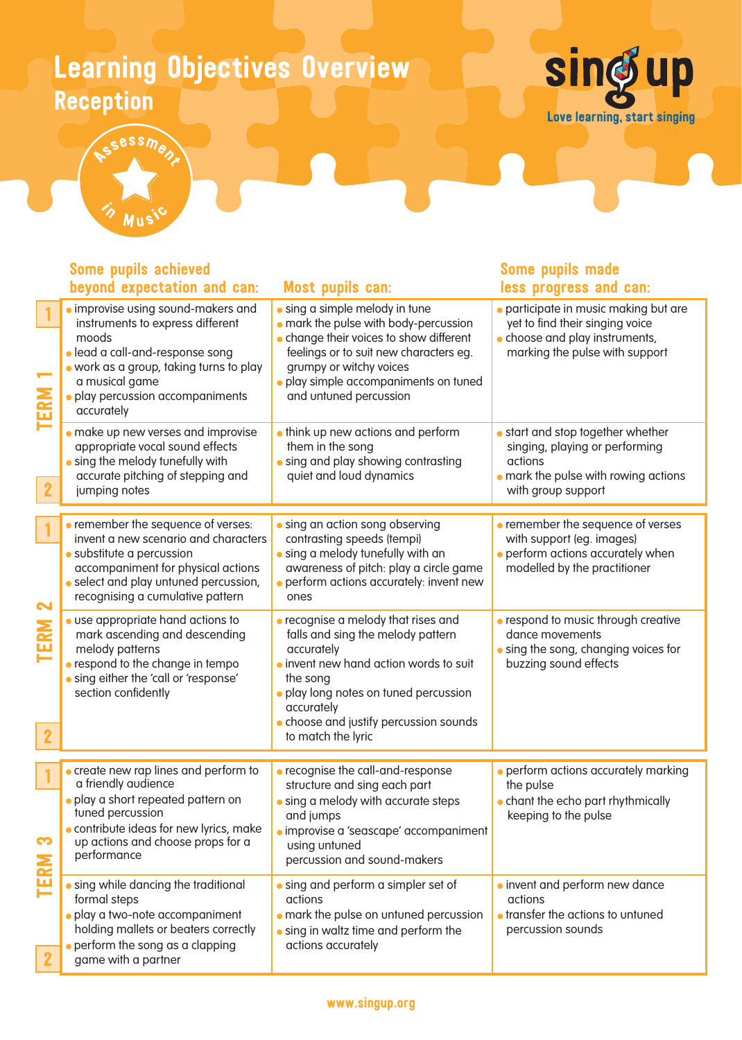### Learning Objectives Overview Reception





#### improvise using sound-makers and instruments to express different moods lead a call-and-response song work as a group, taking turns to play a musical game **• play percussion accompaniments** accurately **•** sing a simple melody in tune mark the pulse with body-percussion **c** change their voices to show different feelings or to suit new characters eg. grumpy or witchy voices **• play simple accompaniments on tuned** and untuned percussion participate in music making but are yet to find their singing voice **choose and play instruments,** marking the pulse with support **make up new verses and improvise**  appropriate vocal sound effects **.** sing the melody tunefully with accurate pitching of stepping and jumping notes **•** think up new actions and perform them in the song **•** sing and play showing contrasting quiet and loud dynamics **•** start and stop together whether singing, playing or performing actions mark the pulse with rowing actions with group support **•** remember the sequence of verses: invent a new scenario and characters substitute a percussion accompaniment for physical actions **Select and play untuned percussion,**  recognising a cumulative pattern **•** sing an action song observing contrasting speeds (tempi) sing a melody tunefully with an awareness of pitch: play a circle game perform actions accurately: invent new ones **•** remember the sequence of verses with support (eg. images) **•** perform actions accurately when modelled by the practitioner use appropriate hand actions to mark ascending and descending melody patterns **•** respond to the change in tempo **sing either the 'call or 'response'**  section confidently recognise a melody that rises and falls and sing the melody pattern accurately **.** invent new hand action words to suit the song play long notes on tuned percussion accurately **c** choose and justify percussion sounds to match the lyric **•** respond to music through creative dance movements **.** sing the song, changing voices for buzzing sound effects **create new rap lines and perform to** a friendly audience play a short repeated pattern on tuned percussion **contribute ideas for new lyrics, make**  up actions and choose props for a performance recognise the call-and-response structure and sing each part **•** sing a melody with accurate steps and jumps improvise a 'seascape' accompaniment using untuned percussion and sound-makers **•** perform actions accurately marking the pulse **chant the echo part rhythmically** keeping to the pulse sing while dancing the traditional formal steps play a two-note accompaniment holding mallets or beaters correctly **perform the song as a clapping**  game with a partner sing and perform a simpler set of actions **• mark the pulse on untuned percussion .** sing in waltz time and perform the actions accurately **• invent and perform new dance** actions **•** transfer the actions to untuned percussion sounds TERM 1 TERM 2 TERM 3 2 1 2 2 1 1 Some pupils achieved beyond expectation and can: Most pupils can: Some pupils made less progress and can: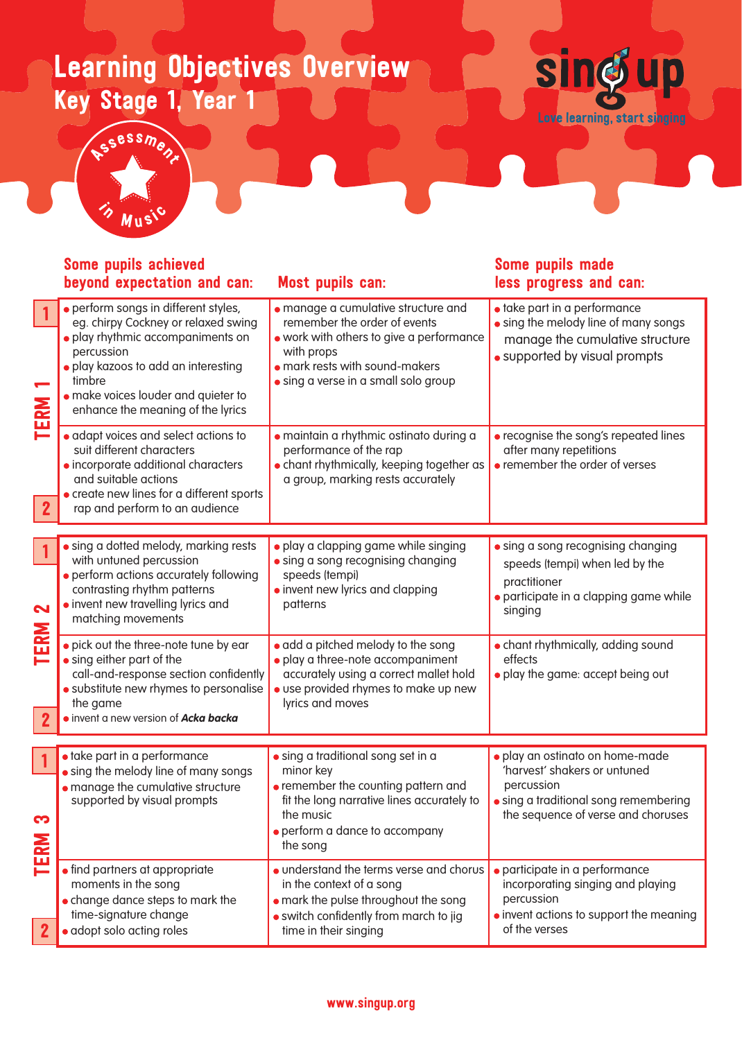# Learning Objectives Overview Key Stage 1, Year 1



Some pupils made less progress and can:

### Some pupils achieved beyond expectation and can: Most pupils can:

Assessment

 $\gamma$  Music

| $\blacksquare$<br>TERM<br>$\overline{2}$ | · perform songs in different styles,<br>eg. chirpy Cockney or relaxed swing<br>· play rhythmic accompaniments on<br>percussion<br>· play kazoos to add an interesting<br>timbre                                                                                                             | · manage a cumulative structure and<br>remember the order of events<br>. work with others to give a performance<br>with props<br>• mark rests with sound-makers<br>· sing a verse in a small solo group | · take part in a performance<br>• sing the melody line of many songs<br>manage the cumulative structure<br>• supported by visual prompts                     |
|------------------------------------------|---------------------------------------------------------------------------------------------------------------------------------------------------------------------------------------------------------------------------------------------------------------------------------------------|---------------------------------------------------------------------------------------------------------------------------------------------------------------------------------------------------------|--------------------------------------------------------------------------------------------------------------------------------------------------------------|
|                                          | · make voices louder and quieter to<br>enhance the meaning of the lyrics<br>· adapt voices and select actions to<br>suit different characters<br>· incorporate additional characters<br>and suitable actions<br>• create new lines for a different sports<br>rap and perform to an audience | · maintain a rhythmic ostinato during a<br>performance of the rap<br>• chant rhythmically, keeping together as<br>a group, marking rests accurately                                                     | • recognise the song's repeated lines<br>after many repetitions<br>• remember the order of verses                                                            |
|                                          |                                                                                                                                                                                                                                                                                             |                                                                                                                                                                                                         |                                                                                                                                                              |
| 2                                        | • sing a dotted melody, marking rests<br>with untuned percussion<br>· perform actions accurately following<br>contrasting rhythm patterns<br>• invent new travelling lyrics and<br>matching movements                                                                                       | · play a clapping game while singing<br>· sing a song recognising changing<br>speeds (tempi)<br>• invent new lyrics and clapping<br>patterns                                                            | • sing a song recognising changing<br>speeds (tempi) when led by the<br>practitioner<br>· participate in a clapping game while<br>singing                    |
| TERM<br>$\mathbf{2}$                     | • pick out the three-note tune by ear<br>• sing either part of the<br>call-and-response section confidently<br>· substitute new rhymes to personalise<br>the game<br>· invent a new version of Acka backa                                                                                   | • add a pitched melody to the song<br>· play a three-note accompaniment<br>accurately using a correct mallet hold<br>· use provided rhymes to make up new<br>lyrics and moves                           | • chant rhythmically, adding sound<br>effects<br>• play the game: accept being out                                                                           |
|                                          |                                                                                                                                                                                                                                                                                             |                                                                                                                                                                                                         |                                                                                                                                                              |
| $\vert$ 1<br>က<br>TERN                   | · take part in a performance<br>• sing the melody line of many songs<br>· manage the cumulative structure<br>supported by visual prompts                                                                                                                                                    | · sing a traditional song set in a<br>minor key<br>• remember the counting pattern and<br>fit the long narrative lines accurately to<br>the music<br>• perform a dance to accompany<br>the song         | · play an ostinato on home-made<br>'harvest' shakers or untuned<br>percussion<br>• sing a traditional song remembering<br>the sequence of verse and choruses |
|                                          | • find partners at appropriate<br>moments in the song<br>• change dance steps to mark the<br>time-signature change<br>· adopt solo acting roles                                                                                                                                             | • understand the terms verse and chorus<br>in the context of a song<br>• mark the pulse throughout the song<br>· switch confidently from march to jig<br>time in their singing                          | · participate in a performance<br>incorporating singing and playing<br>percussion<br>• invent actions to support the meaning<br>of the verses                |

### www.singup.org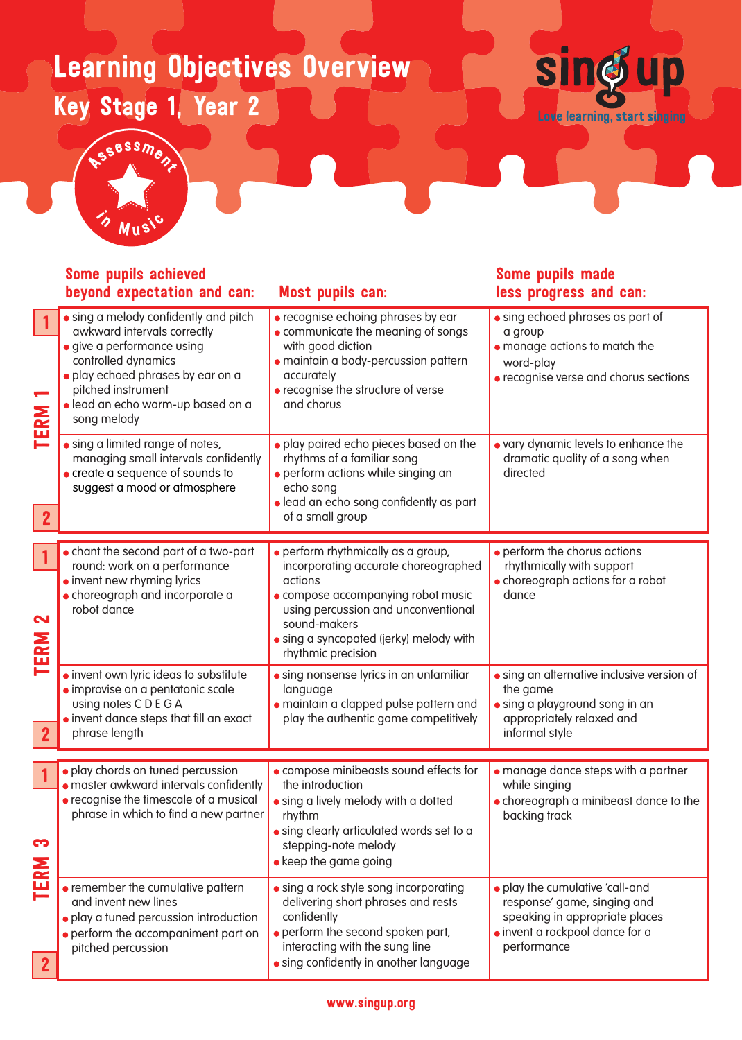# Learning Objectives Overview Key Stage 1, Year 2





SS<sup>essme</sup>nt

### Some pupils achieved beyond expectation and can: Most pupils can:

### Some pupils made less progress and can:

| $\overline{\phantom{0}}$<br><b>TERM</b><br>$\mathbf{2}$ | • sing a melody confidently and pitch<br>awkward intervals correctly<br>· give a performance using<br>controlled dynamics<br>· play echoed phrases by ear on a<br>pitched instrument<br>· lead an echo warm-up based on a<br>song melody | · recognise echoing phrases by ear<br>• communicate the meaning of songs<br>with good diction<br>· maintain a body-percussion pattern<br>accurately<br>• recognise the structure of verse<br>and chorus                                             | • sing echoed phrases as part of<br>a group<br>• manage actions to match the<br>word-play<br>· recognise verse and chorus sections                 |
|---------------------------------------------------------|------------------------------------------------------------------------------------------------------------------------------------------------------------------------------------------------------------------------------------------|-----------------------------------------------------------------------------------------------------------------------------------------------------------------------------------------------------------------------------------------------------|----------------------------------------------------------------------------------------------------------------------------------------------------|
|                                                         | • sing a limited range of notes,<br>managing small intervals confidently<br>• create a sequence of sounds to<br>suggest a mood or atmosphere                                                                                             | · play paired echo pieces based on the<br>rhythms of a familiar song<br>· perform actions while singing an<br>echo song<br>· lead an echo song confidently as part<br>of a small group                                                              | • vary dynamic levels to enhance the<br>dramatic quality of a song when<br>directed                                                                |
| $\mathbf{1}$<br>2<br><b>TERM</b>                        | • chant the second part of a two-part<br>round: work on a performance<br>• invent new rhyming lyrics<br>• choreograph and incorporate a<br>robot dance                                                                                   | • perform rhythmically as a group,<br>incorporating accurate choreographed<br>actions<br>• compose accompanying robot music<br>using percussion and unconventional<br>sound-makers<br>• sing a syncopated (jerky) melody with<br>rhythmic precision | • perform the chorus actions<br>rhythmically with support<br>• choreograph actions for a robot<br>dance                                            |
| $\vert 2 \vert$                                         | · invent own lyric ideas to substitute<br>· improvise on a pentatonic scale<br>using notes CDEGA<br>• invent dance steps that fill an exact<br>phrase length                                                                             | • sing nonsense lyrics in an unfamiliar<br>language<br>· maintain a clapped pulse pattern and<br>play the authentic game competitively                                                                                                              | • sing an alternative inclusive version of<br>the game<br>· sing a playground song in an<br>appropriately relaxed and<br>informal style            |
| $\vert$ 1                                               | · play chords on tuned percussion                                                                                                                                                                                                        | • compose minibeasts sound effects for                                                                                                                                                                                                              | · manage dance steps with a partner                                                                                                                |
| က                                                       | · master awkward intervals confidently<br>• recognise the timescale of a musical<br>phrase in which to find a new partner                                                                                                                | the introduction<br>• sing a lively melody with a dotted<br>rhythm<br>• sing clearly articulated words set to a<br>stepping-note melody<br>• keep the game going                                                                                    | while singing<br>• choreograph a minibeast dance to the<br>backing track                                                                           |
| <b>TERM</b><br>$\boxed{2}$                              | • remember the cumulative pattern<br>and invent new lines<br>· play a tuned percussion introduction<br>• perform the accompaniment part on<br>pitched percussion                                                                         | • sing a rock style song incorporating<br>delivering short phrases and rests<br>confidently<br>• perform the second spoken part,<br>interacting with the sung line<br>• sing confidently in another language                                        | • play the cumulative 'call-and<br>response' game, singing and<br>speaking in appropriate places<br>· invent a rockpool dance for a<br>performance |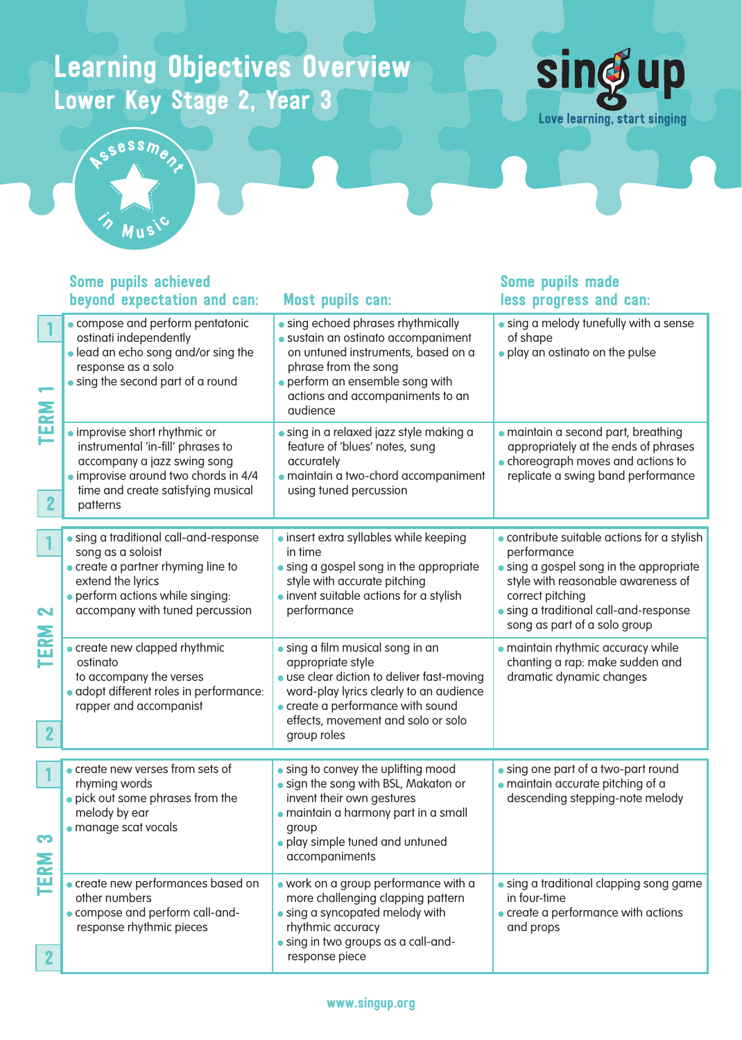## Learning Objectives Overview Lower Key Stage 2, Year 3





#### compose and perform pentatonic ostinati independently lead an echo song and/or sing the response as a solo sing the second part of a round **•** sing echoed phrases rhythmically sustain an ostinato accompaniment on untuned instruments, based on a phrase from the song **•** perform an ensemble song with actions and accompaniments to an audience sing a melody tunefully with a sense of shape **•** play an ostinato on the pulse improvise short rhythmic or instrumental 'in-fill' phrases to accompany a jazz swing song improvise around two chords in 4/4 time and create satisfying musical patterns sing in a relaxed jazz style making a feature of 'blues' notes, sung accurately maintain a two-chord accompaniment using tuned percussion maintain a second part, breathing appropriately at the ends of phrases choreograph moves and actions to replicate a swing band performance sing a traditional call-and-response song as a soloist create a partner rhyming line to extend the lyrics perform actions while singing: accompany with tuned percussion **• insert extra syllables while keeping**  in time **sing a gospel song in the appropriate**  style with accurate pitching **• invent suitable actions for a stylish**  performance contribute suitable actions for a stylish performance **sing a gospel song in the appropriate**  style with reasonable awareness of correct pitching **sing a traditional call-and-response**  song as part of a solo group **create new clapped rhythmic** ostinato to accompany the verses • adopt different roles in performance: rapper and accompanist sing a film musical song in an appropriate style use clear diction to deliver fast-moving word-play lyrics clearly to an audience **•** create a performance with sound effects, movement and solo or solo group roles maintain rhythmic accuracy while chanting a rap: make sudden and dramatic dynamic changes create new verses from sets of rhyming words pick out some phrases from the melody by ear manage scat vocals **•** sing to convey the uplifting mood **•** sign the song with BSL, Makaton or invent their own gestures maintain a harmony part in a small group play simple tuned and untuned accompaniments sing one part of a two-part round maintain accurate pitching of a descending stepping-note melody create new performances based on other numbers compose and perform call-andresponse rhythmic pieces work on a group performance with a more challenging clapping pattern sing a syncopated melody with rhythmic accuracy sing in two groups as a call-andresponse piece sing a traditional clapping song game in four-time create a performance with actions and props TERM 1 TERM 2  $\mathbf{C}$ 2 1 2 1 1 2 Some pupils achieved beyond expectation and can: Most pupils can: Some pupils made less progress and can:

#### www.singup.org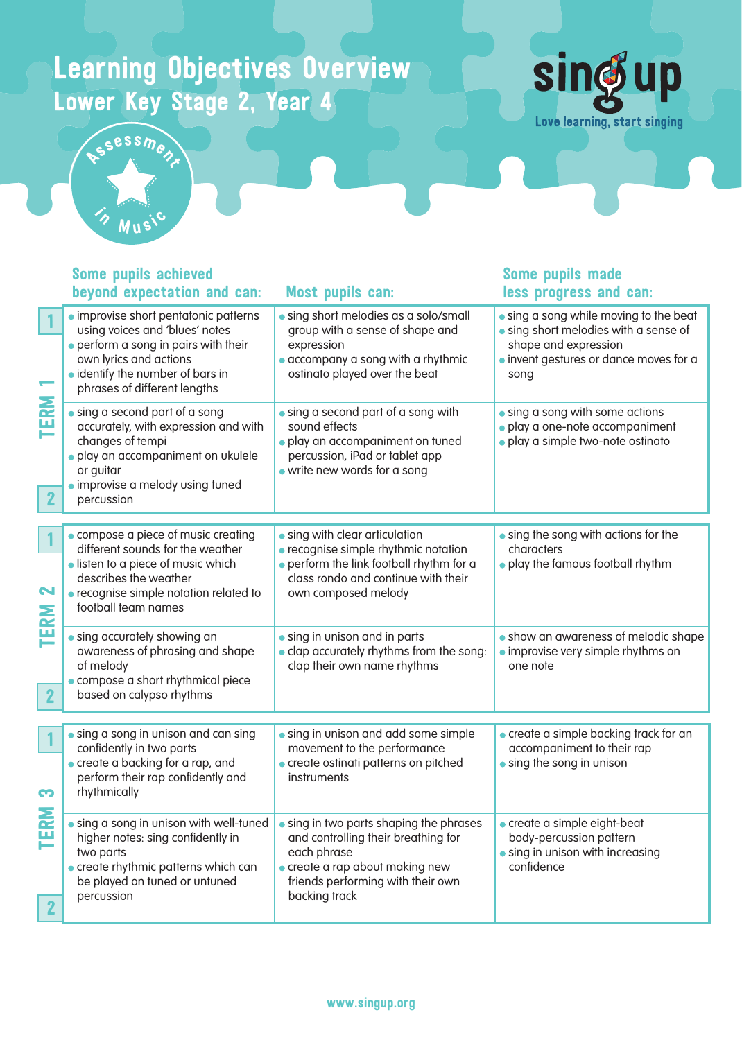## Learning Objectives Overview Lower Key Stage 2, Year 4





#### **·** improvise short pentatonic patterns using voices and 'blues' notes perform a song in pairs with their own lyrics and actions **• identify the number of bars in**  phrases of different lengths sing short melodies as a solo/small group with a sense of shape and expression accompany a song with a rhythmic ostinato played over the beat **sing a song while moving to the beat**  sing short melodies with a sense of shape and expression **.** invent gestures or dance moves for a song sing a second part of a song accurately, with expression and with changes of tempi play an accompaniment on ukulele or guitar **·** improvise a melody using tuned percussion sing a second part of a song with sound effects **• play an accompaniment on tuned**  percussion, iPad or tablet app write new words for a song **•** sing a song with some actions play a one-note accompaniment play a simple two-note ostinato compose a piece of music creating different sounds for the weather **.** listen to a piece of music which describes the weather recognise simple notation related to football team names **•** sing with clear articulation recognise simple rhythmic notation **•** perform the link football rhythm for a class rondo and continue with their own composed melody **•** sing the song with actions for the characters play the famous football rhythm sing accurately showing an awareness of phrasing and shape of melody compose a short rhythmical piece based on calypso rhythms **sing in unison and in parts clap accurately rhythms from the song:**  clap their own name rhythms show an awareness of melodic shape **• improvise very simple rhythms on**  one note **sing a song in unison and can sing**  confidently in two parts create a backing for a rap, and perform their rap confidently and rhythmically sing in unison and add some simple movement to the performance **create ostinati patterns on pitched**  instruments create a simple backing track for an accompaniment to their rap **sing the song in unison**  sing a song in unison with well-tuned higher notes: sing confidently in two parts **sing in two parts shaping the phrases**  and controlling their breathing for each phrase create a simple eight-beat body-percussion pattern **•** sing in unison with increasing TERM 1 TERM 3 B RM 3 1 2 1 2 1 Some pupils achieved beyond expectation and can: Most pupils can: Some pupils made less progress and can:

**•** create rhythmic patterns which can be played on tuned or untuned percussion create a rap about making new friends performing with their own backing track confidence 2

#### www.singup.org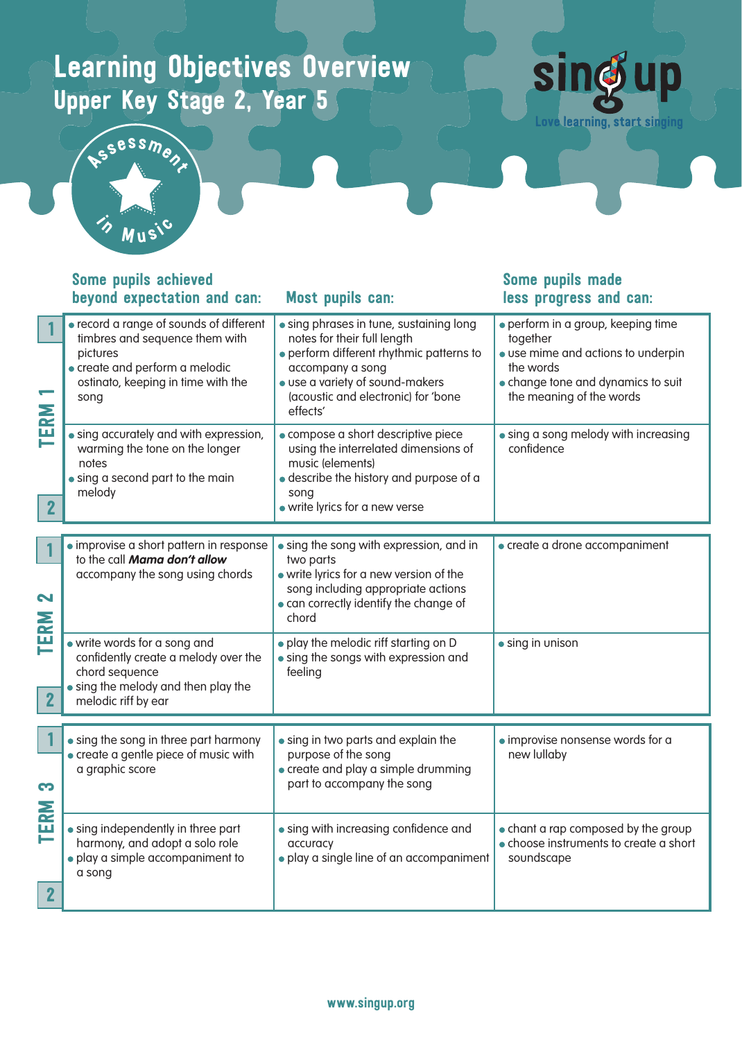# Learning Objectives Overview Upper Key Stage 2, Year 5





#### record a range of sounds of different timbres and sequence them with pictures create and perform a melodic ostinato, keeping in time with the song sing phrases in tune, sustaining long notes for their full length perform different rhythmic patterns to accompany a song use a variety of sound-makers (acoustic and electronic) for 'bone effects' perform in a group, keeping time together use mime and actions to underpin the words change tone and dynamics to suit the meaning of the words **sing accurately and with expression,**  warming the tone on the longer notes sing a second part to the main melody compose a short descriptive piece using the interrelated dimensions of music (elements) describe the history and purpose of a song write lyrics for a new verse sing a song melody with increasing confidence improvise a short pattern in response to the call **Mama don't allow** accompany the song using chords **•** sing the song with expression, and in two parts write lyrics for a new version of the song including appropriate actions can correctly identify the change of chord create a drone accompaniment write words for a song and confidently create a melody over the chord sequence sing the melody and then play the melodic riff by ear play the melodic riff starting on D sing the songs with expression and feeling sing in unison **.** sing the song in three part harmony create a gentle piece of music with a graphic score sing in two parts and explain the purpose of the song • create and play a simple drumming part to accompany the song improvise nonsense words for a new lullaby sing independently in three part harmony, and adopt a solo role play a simple accompaniment to a song sing with increasing confidence and accuracy play a single line of an accompaniment chant a rap composed by the group choose instruments to create a short soundscape TERM 1 TERM 2 2 1 1 2 2 1TERM 3 Some pupils achieved beyond expectation and can: Most pupils can: Some pupils made less progress and can: